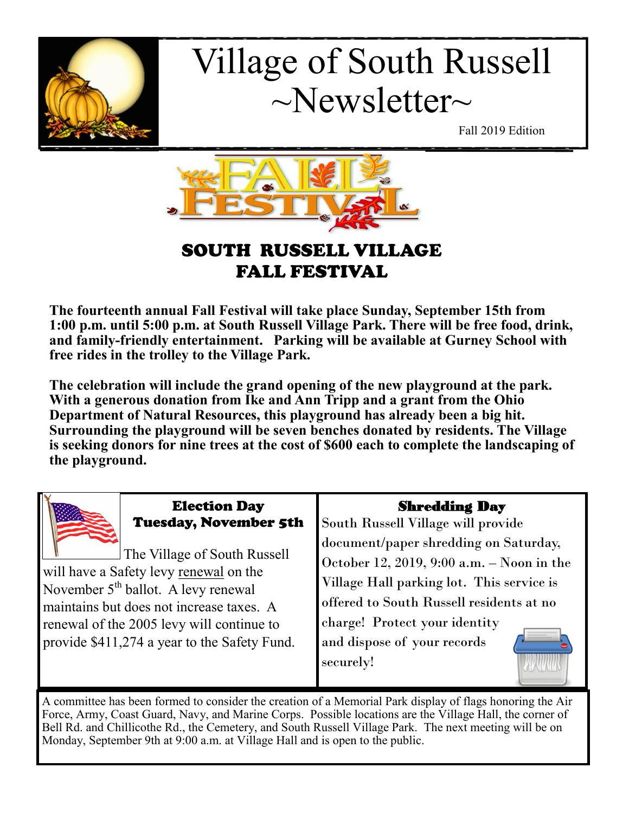

# Village of South Russell  $\sim$ Newsletter $\sim$

Fall 2019 Edition



# SOUTH RUSSELL VILLAGE FALL FESTIVAL

**The fourteenth annual Fall Festival will take place Sunday, September 15th from 1:00 p.m. until 5:00 p.m. at South Russell Village Park. There will be free food, drink, and family-friendly entertainment. Parking will be available at Gurney School with free rides in the trolley to the Village Park.** 

**The celebration will include the grand opening of the new playground at the park. With a generous donation from Ike and Ann Tripp and a grant from the Ohio Department of Natural Resources, this playground has already been a big hit. Surrounding the playground will be seven benches donated by residents. The Village is seeking donors for nine trees at the cost of \$600 each to complete the landscaping of the playground.**

| <b>Election Day</b>                                                                                                                                                                                                                                                | <b>Shredding Day</b>                                                                                                                                                                                                                                     |
|--------------------------------------------------------------------------------------------------------------------------------------------------------------------------------------------------------------------------------------------------------------------|----------------------------------------------------------------------------------------------------------------------------------------------------------------------------------------------------------------------------------------------------------|
| <b>Tuesday, November 5th</b>                                                                                                                                                                                                                                       | South Russell Village will provide                                                                                                                                                                                                                       |
| The Village of South Russell<br>will have a Safety levy renewal on the<br>November 5 <sup>th</sup> ballot. A levy renewal<br>maintains but does not increase taxes. A<br>renewal of the 2005 levy will continue to<br>provide \$411,274 a year to the Safety Fund. | document/paper shredding on Saturday,<br>October 12, 2019, 9:00 a.m. - Noon in the<br>Village Hall parking lot. This service is<br>offered to South Russell residents at no<br>charge! Protect your identity<br>and dispose of your records<br>securely! |

A committee has been formed to consider the creation of a Memorial Park display of flags honoring the Air Force, Army, Coast Guard, Navy, and Marine Corps. Possible locations are the Village Hall, the corner of Bell Rd. and Chillicothe Rd., the Cemetery, and South Russell Village Park. The next meeting will be on Monday, September 9th at 9:00 a.m. at Village Hall and is open to the public.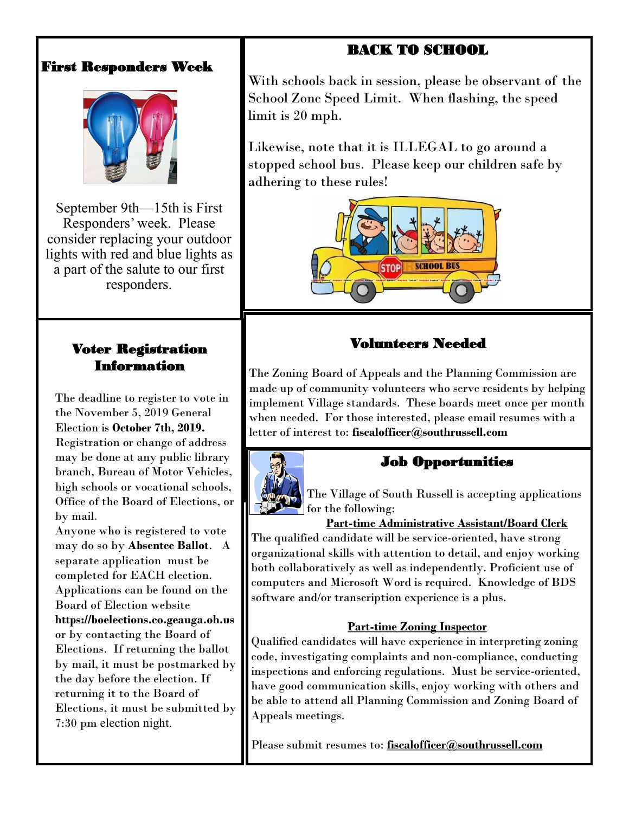## BACK TO SCHOOL

## First Responders Week



September 9th—15th is First Responders' week. Please consider replacing your outdoor lights with red and blue lights as a part of the salute to our first responders.

## Voter Registration Information

The deadline to register to vote in the November 5, 2019 General Election is **October 7th, 2019.** Registration or change of address may be done at any public library branch, Bureau of Motor Vehicles, high schools or vocational schools, Office of the Board of Elections, or by mail.

Anyone who is registered to vote may do so by **Absentee Ballot**. A separate application must be completed for EACH election. Applications can be found on the Board of Election website **https://boelections.co.geauga.oh.us**  or by contacting the Board of Elections. If returning the ballot by mail, it must be postmarked by the day before the election. If returning it to the Board of Elections, it must be submitted by 7:30 pm election night.

With schools back in session, please be observant of the School Zone Speed Limit. When flashing, the speed limit is 20 mph.

Likewise, note that it is ILLEGAL to go around a stopped school bus. Please keep our children safe by adhering to these rules!



## Volunteers Needed

The Zoning Board of Appeals and the Planning Commission are made up of community volunteers who serve residents by helping implement Village standards. These boards meet once per month when needed. For those interested, please email resumes with a letter of interest to: **fiscalofficer@southrussell.com** 



The Village of South Russell is accepting applications

Job Opportunities

for the following:

**Part-time Administrative Assistant/Board Clerk** 

The qualified candidate will be service-oriented, have strong organizational skills with attention to detail, and enjoy working both collaboratively as well as independently. Proficient use of computers and Microsoft Word is required. Knowledge of BDS software and/or transcription experience is a plus.

#### **Part-time Zoning Inspector**

Qualified candidates will have experience in interpreting zoning code, investigating complaints and non-compliance, conducting inspections and enforcing regulations. Must be service-oriented, have good communication skills, enjoy working with others and be able to attend all Planning Commission and Zoning Board of Appeals meetings.

Please submit resumes to: **[fiscalofficer@southrussell.com](mailto:fiscalofficer@southrussell.com)**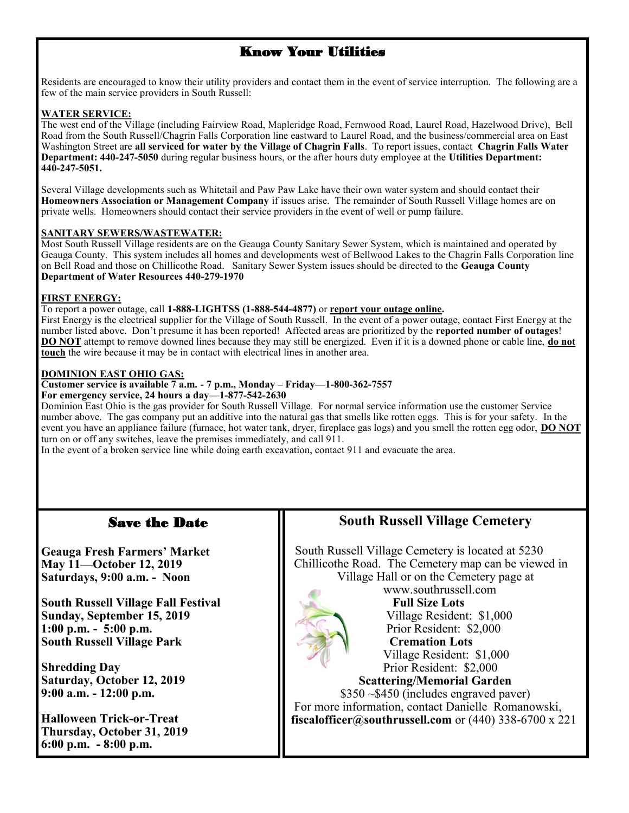## Know Your Utilities

Residents are encouraged to know their utility providers and contact them in the event of service interruption. The following are a few of the main service providers in South Russell:

#### **WATER SERVICE:**

The west end of the Village (including Fairview Road, Mapleridge Road, Fernwood Road, Laurel Road, Hazelwood Drive), Bell Road from the South Russell/Chagrin Falls Corporation line eastward to Laurel Road, and the business/commercial area on East Washington Street are **all serviced for water by the Village of Chagrin Falls**. To report issues, contact **Chagrin Falls Water Department: 440-247-5050** during regular business hours, or the after hours duty employee at the **Utilities Department: 440-247-5051.**

Several Village developments such as Whitetail and Paw Paw Lake have their own water system and should contact their **Homeowners Association or Management Company** if issues arise. The remainder of South Russell Village homes are on private wells. Homeowners should contact their service providers in the event of well or pump failure.

#### **SANITARY SEWERS/WASTEWATER:**

Most South Russell Village residents are on the Geauga County Sanitary Sewer System, which is maintained and operated by Geauga County. This system includes all homes and developments west of Bellwood Lakes to the Chagrin Falls Corporation line on Bell Road and those on Chillicothe Road. Sanitary Sewer System issues should be directed to the **Geauga County Department of Water Resources 440-279-1970**

#### **FIRST ENERGY:**

To report a power outage, call **1-888-LIGHTSS (1-888-544-4877)** or **[report your outage online.](https://www.firstenergycorp.com/outages_help/Report_Power_Outages.html)**

First Energy is the electrical supplier for the Village of South Russell. In the event of a power outage, contact First Energy at the number listed above. Don't presume it has been reported! Affected areas are prioritized by the **reported number of outages**! **DO NOT** attempt to remove downed lines because they may still be energized. Even if it is a downed phone or cable line, **do not touch** the wire because it may be in contact with electrical lines in another area.

#### **DOMINION EAST OHIO GAS:**

#### **Customer service is available 7 a.m. - 7 p.m., Monday – Friday—1-800-362-7557**

**For emergency service, 24 hours a day—1-877-542-2630** 

Dominion East Ohio is the gas provider for South Russell Village. For normal service information use the customer Service number above. The gas company put an additive into the natural gas that smells like rotten eggs. This is for your safety. In the event you have an appliance failure (furnace, hot water tank, dryer, fireplace gas logs) and you smell the rotten egg odor, **DO NOT** turn on or off any switches, leave the premises immediately, and call 911.

In the event of a broken service line while doing earth excavation, contact 911 and evacuate the area.

#### Save the Date

**Geauga Fresh Farmers' Market May 11—October 12, 2019 Saturdays, 9:00 a.m. - Noon**

**South Russell Village Fall Festival Sunday, September 15, 2019 1:00 p.m. - 5:00 p.m. South Russell Village Park**

**Shredding Day Saturday, October 12, 2019 9:00 a.m. - 12:00 p.m.**

**Halloween Trick-or-Treat Thursday, October 31, 2019 6:00 p.m. - 8:00 p.m.**

### **South Russell Village Cemetery**

 South Russell Village Cemetery is located at 5230 Chillicothe Road. The Cemetery map can be viewed in Village Hall or on the Cemetery page at



 www.southrussell.com **Full Size Lots** Village Resident: \$1,000 Prior Resident: \$2,000  **Cremation Lots** Village Resident: \$1,000 Prior Resident: \$2,000  **Scattering/Memorial Garden** \$350 ~\$450 (includes engraved paver)

 For more information, contact Danielle Romanowski, **fiscalofficer@southrussell.com** or (440) 338-6700 x 221